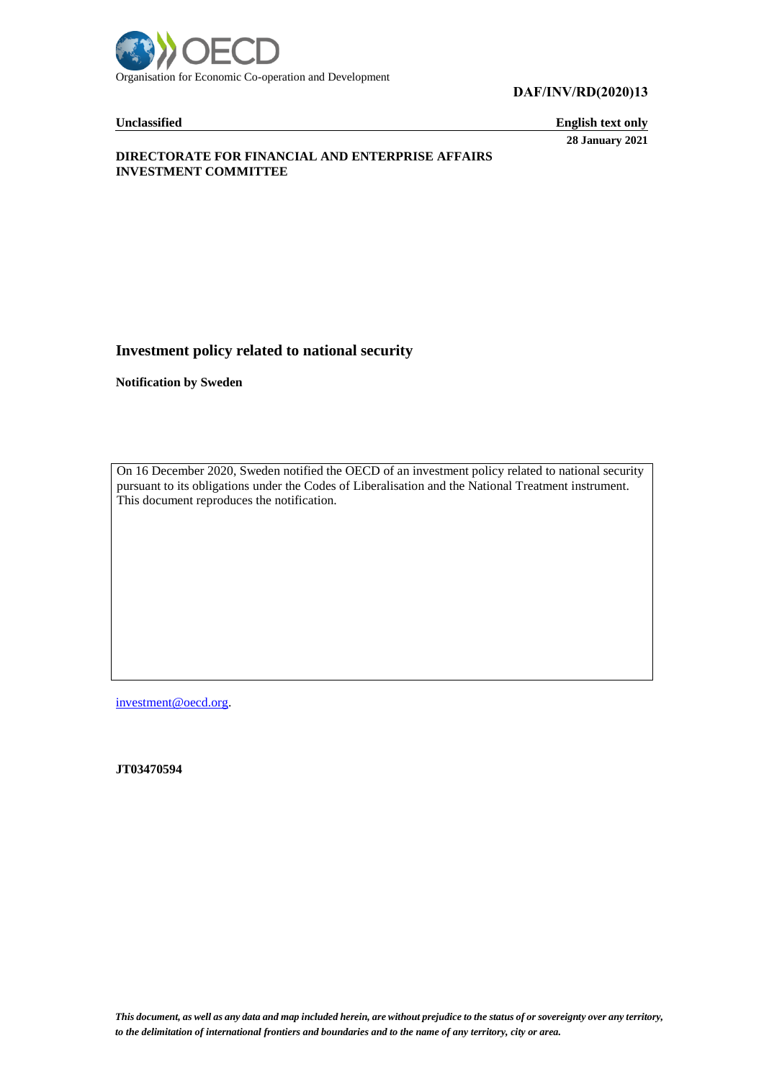

**DAF/INV/RD(2020)13**

**Unclassified English text only 28 January 2021**

# **DIRECTORATE FOR FINANCIAL AND ENTERPRISE AFFAIRS INVESTMENT COMMITTEE**

# **Investment policy related to national security**

**Notification by Sweden**

On 16 December 2020, Sweden notified the OECD of an investment policy related to national security pursuant to its obligations under the Codes of Liberalisation and the National Treatment instrument. This document reproduces the notification.

[investment@oecd.org.](mailto:investment@oecd.org)

**JT03470594**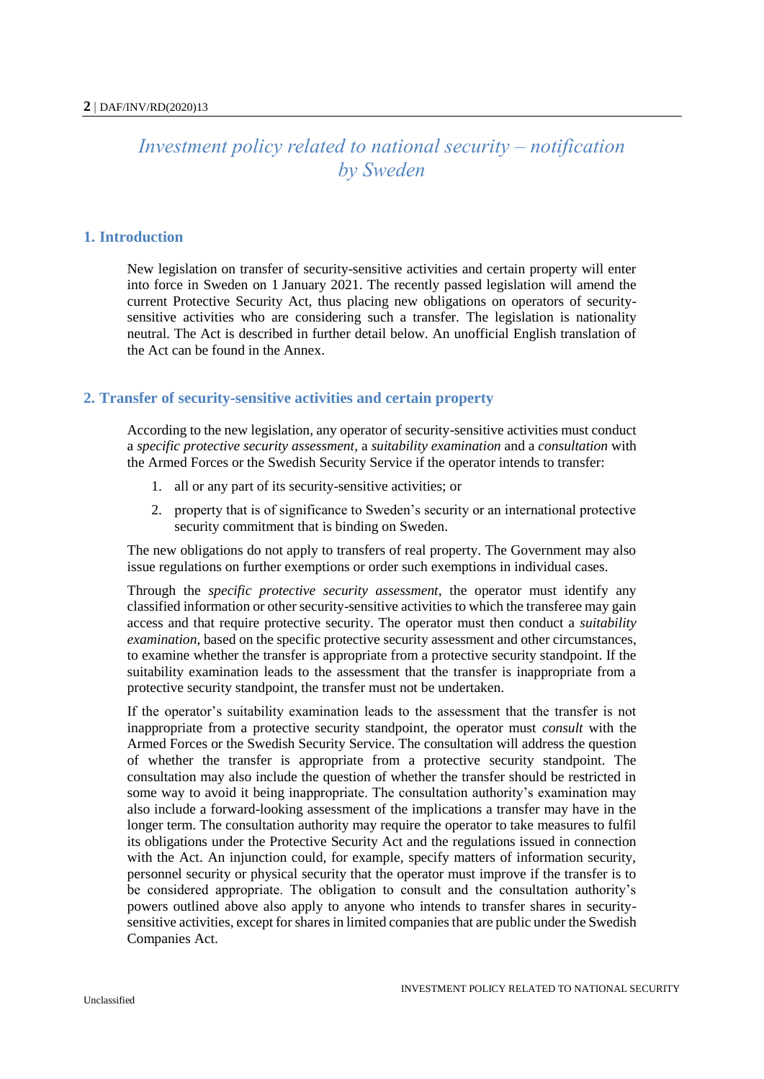# *Investment policy related to national security – notification by Sweden*

# **1. Introduction**

New legislation on transfer of security-sensitive activities and certain property will enter into force in Sweden on 1 January 2021. The recently passed legislation will amend the current Protective Security Act, thus placing new obligations on operators of securitysensitive activities who are considering such a transfer. The legislation is nationality neutral. The Act is described in further detail below. An unofficial English translation of the Act can be found in the Annex.

# **2. Transfer of security-sensitive activities and certain property**

According to the new legislation, any operator of security-sensitive activities must conduct a *specific protective security assessment,* a *suitability examination* and a *consultation* with the Armed Forces or the Swedish Security Service if the operator intends to transfer:

- 1. all or any part of its security-sensitive activities; or
- 2. property that is of significance to Sweden's security or an international protective security commitment that is binding on Sweden.

The new obligations do not apply to transfers of real property. The Government may also issue regulations on further exemptions or order such exemptions in individual cases.

Through the *specific protective security assessment*, the operator must identify any classified information or other security-sensitive activities to which the transferee may gain access and that require protective security. The operator must then conduct a *suitability examination*, based on the specific protective security assessment and other circumstances, to examine whether the transfer is appropriate from a protective security standpoint. If the suitability examination leads to the assessment that the transfer is inappropriate from a protective security standpoint, the transfer must not be undertaken.

If the operator's suitability examination leads to the assessment that the transfer is not inappropriate from a protective security standpoint, the operator must *consult* with the Armed Forces or the Swedish Security Service. The consultation will address the question of whether the transfer is appropriate from a protective security standpoint. The consultation may also include the question of whether the transfer should be restricted in some way to avoid it being inappropriate. The consultation authority's examination may also include a forward-looking assessment of the implications a transfer may have in the longer term. The consultation authority may require the operator to take measures to fulfil its obligations under the Protective Security Act and the regulations issued in connection with the Act. An injunction could, for example, specify matters of information security, personnel security or physical security that the operator must improve if the transfer is to be considered appropriate. The obligation to consult and the consultation authority's powers outlined above also apply to anyone who intends to transfer shares in securitysensitive activities, except for shares in limited companies that are public under the Swedish Companies Act.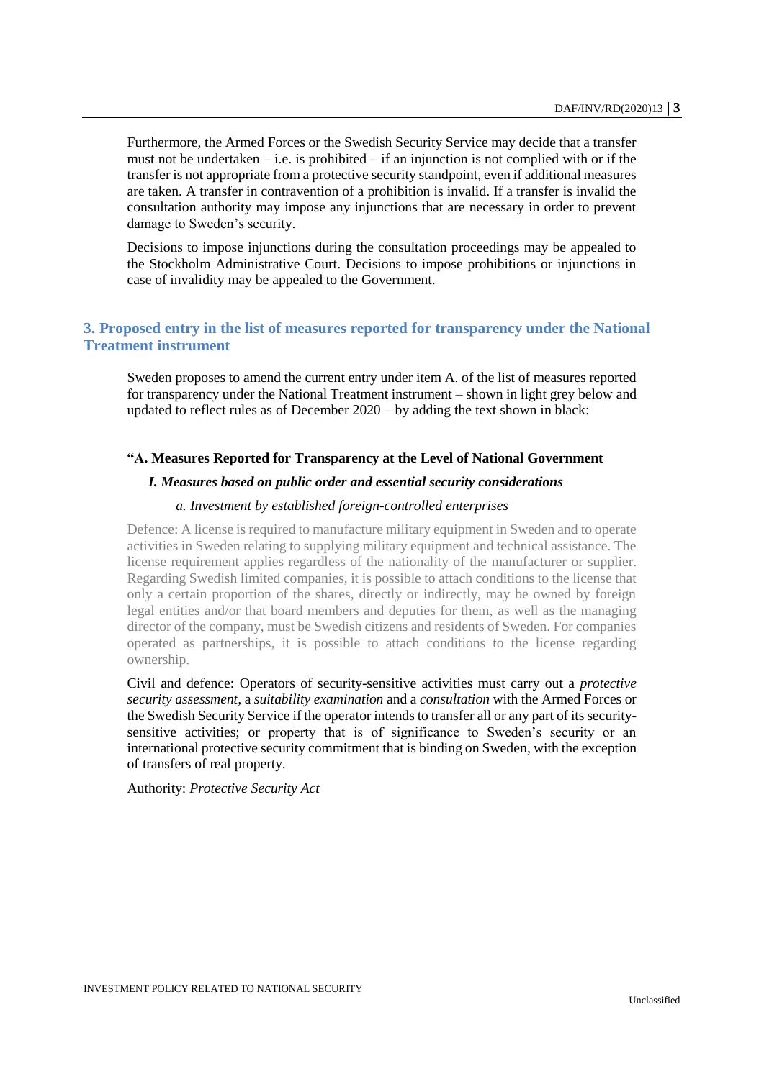Furthermore, the Armed Forces or the Swedish Security Service may decide that a transfer must not be undertaken – i.e. is prohibited – if an injunction is not complied with or if the transfer is not appropriate from a protective security standpoint, even if additional measures are taken. A transfer in contravention of a prohibition is invalid. If a transfer is invalid the consultation authority may impose any injunctions that are necessary in order to prevent damage to Sweden's security.

Decisions to impose injunctions during the consultation proceedings may be appealed to the Stockholm Administrative Court. Decisions to impose prohibitions or injunctions in case of invalidity may be appealed to the Government.

# **3. Proposed entry in the list of measures reported for transparency under the National Treatment instrument**

Sweden proposes to amend the current entry under item A. of the list of measures reported for transparency under the National Treatment instrument – shown in light grey below and updated to reflect rules as of December 2020 – by adding the text shown in black:

# **"A. Measures Reported for Transparency at the Level of National Government**

# *I. Measures based on public order and essential security considerations*

# *a. Investment by established foreign-controlled enterprises*

Defence: A license is required to manufacture military equipment in Sweden and to operate activities in Sweden relating to supplying military equipment and technical assistance. The license requirement applies regardless of the nationality of the manufacturer or supplier. Regarding Swedish limited companies, it is possible to attach conditions to the license that only a certain proportion of the shares, directly or indirectly, may be owned by foreign legal entities and/or that board members and deputies for them, as well as the managing director of the company, must be Swedish citizens and residents of Sweden. For companies operated as partnerships, it is possible to attach conditions to the license regarding ownership.

Civil and defence: Operators of security-sensitive activities must carry out a *protective security assessment,* a *suitability examination* and a *consultation* with the Armed Forces or the Swedish Security Service if the operator intends to transfer all or any part of its securitysensitive activities; or property that is of significance to Sweden's security or an international protective security commitment that is binding on Sweden, with the exception of transfers of real property.

Authority: *Protective Security Act*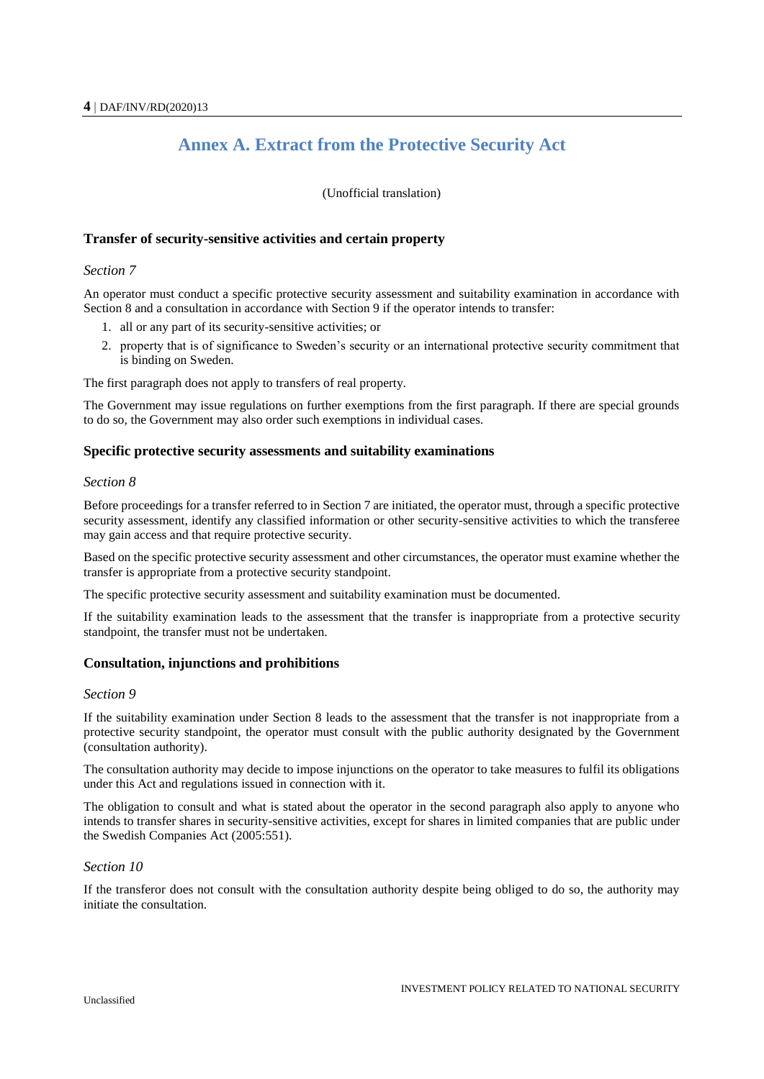# **Annex A. Extract from the Protective Security Act**

(Unofficial translation)

### **Transfer of security-sensitive activities and certain property**

#### *Section 7*

An operator must conduct a specific protective security assessment and suitability examination in accordance with Section 8 and a consultation in accordance with Section 9 if the operator intends to transfer:

- 1. all or any part of its security-sensitive activities; or
- 2. property that is of significance to Sweden's security or an international protective security commitment that is binding on Sweden.

The first paragraph does not apply to transfers of real property.

The Government may issue regulations on further exemptions from the first paragraph. If there are special grounds to do so, the Government may also order such exemptions in individual cases.

#### **Specific protective security assessments and suitability examinations**

#### *Section 8*

Before proceedings for a transfer referred to in Section 7 are initiated, the operator must, through a specific protective security assessment, identify any classified information or other security-sensitive activities to which the transferee may gain access and that require protective security.

Based on the specific protective security assessment and other circumstances, the operator must examine whether the transfer is appropriate from a protective security standpoint.

The specific protective security assessment and suitability examination must be documented.

If the suitability examination leads to the assessment that the transfer is inappropriate from a protective security standpoint, the transfer must not be undertaken.

#### **Consultation, injunctions and prohibitions**

#### *Section 9*

If the suitability examination under Section 8 leads to the assessment that the transfer is not inappropriate from a protective security standpoint, the operator must consult with the public authority designated by the Government (consultation authority).

The consultation authority may decide to impose injunctions on the operator to take measures to fulfil its obligations under this Act and regulations issued in connection with it.

The obligation to consult and what is stated about the operator in the second paragraph also apply to anyone who intends to transfer shares in security-sensitive activities, except for shares in limited companies that are public under the Swedish Companies Act (2005:551).

#### *Section 10*

If the transferor does not consult with the consultation authority despite being obliged to do so, the authority may initiate the consultation.